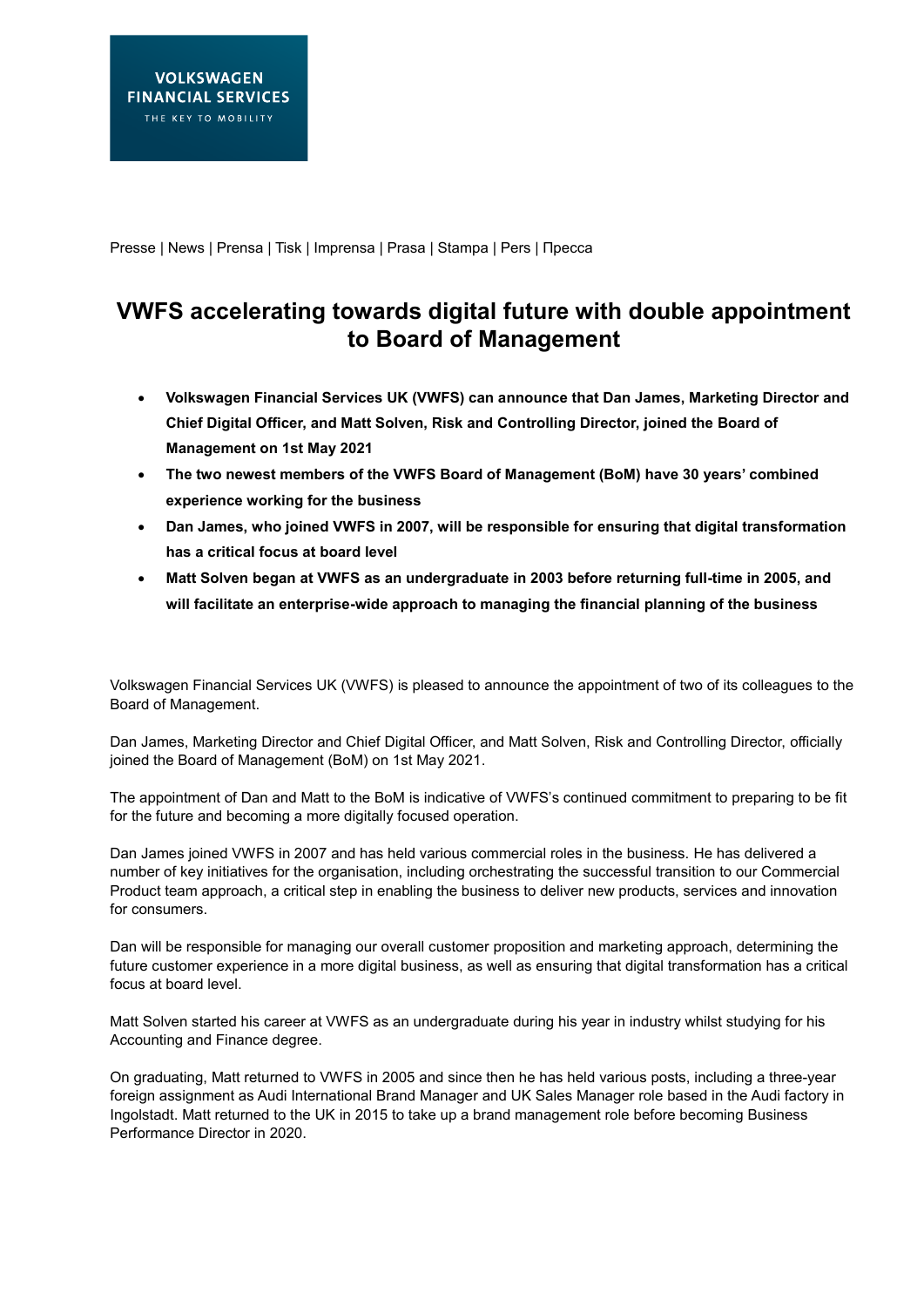Presse | News | Prensa | Tisk | Imprensa | Prasa | Stampa | Pers | Пресса

## **VWFS accelerating towards digital future with double appointment to Board of Management**

- **Volkswagen Financial Services UK (VWFS) can announce that Dan James, Marketing Director and Chief Digital Officer, and Matt Solven, Risk and Controlling Director, joined the Board of Management on 1st May 2021**
- **The two newest members of the VWFS Board of Management (BoM) have 30 years' combined experience working for the business**
- **Dan James, who joined VWFS in 2007, will be responsible for ensuring that digital transformation has a critical focus at board level**
- **Matt Solven began at VWFS as an undergraduate in 2003 before returning full-time in 2005, and will facilitate an enterprise-wide approach to managing the financial planning of the business**

Volkswagen Financial Services UK (VWFS) is pleased to announce the appointment of two of its colleagues to the Board of Management.

Dan James, Marketing Director and Chief Digital Officer, and Matt Solven, Risk and Controlling Director, officially joined the Board of Management (BoM) on 1st May 2021.

The appointment of Dan and Matt to the BoM is indicative of VWFS's continued commitment to preparing to be fit for the future and becoming a more digitally focused operation.

Dan James joined VWFS in 2007 and has held various commercial roles in the business. He has delivered a number of key initiatives for the organisation, including orchestrating the successful transition to our Commercial Product team approach, a critical step in enabling the business to deliver new products, services and innovation for consumers.

Dan will be responsible for managing our overall customer proposition and marketing approach, determining the future customer experience in a more digital business, as well as ensuring that digital transformation has a critical focus at board level.

Matt Solven started his career at VWFS as an undergraduate during his year in industry whilst studying for his Accounting and Finance degree.

On graduating, Matt returned to VWFS in 2005 and since then he has held various posts, including a three-year foreign assignment as Audi International Brand Manager and UK Sales Manager role based in the Audi factory in Ingolstadt. Matt returned to the UK in 2015 to take up a brand management role before becoming Business Performance Director in 2020.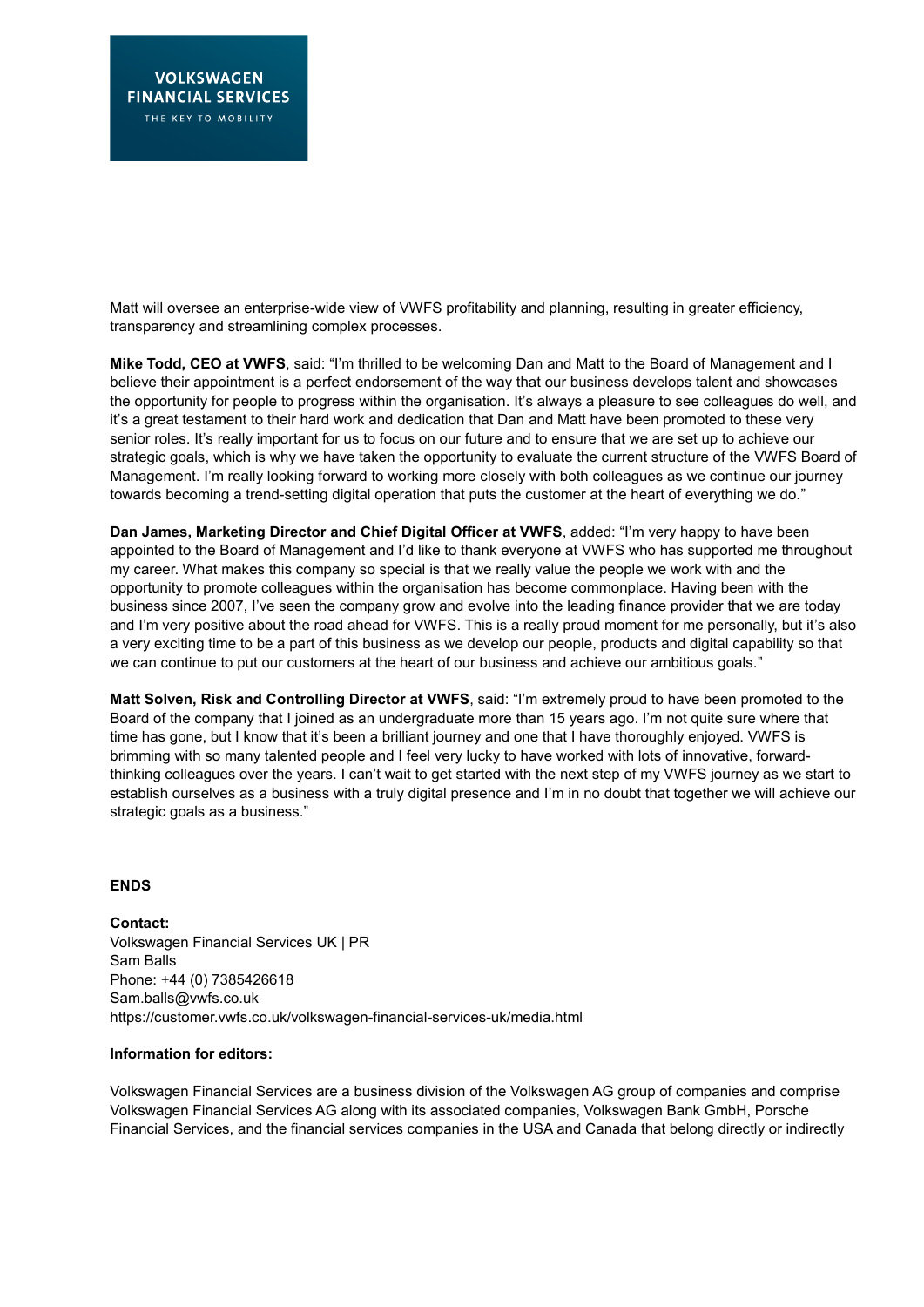Matt will oversee an enterprise-wide view of VWFS profitability and planning, resulting in greater efficiency, transparency and streamlining complex processes.

**Mike Todd, CEO at VWFS**, said: "I'm thrilled to be welcoming Dan and Matt to the Board of Management and I believe their appointment is a perfect endorsement of the way that our business develops talent and showcases the opportunity for people to progress within the organisation. It's always a pleasure to see colleagues do well, and it's a great testament to their hard work and dedication that Dan and Matt have been promoted to these very senior roles. It's really important for us to focus on our future and to ensure that we are set up to achieve our strategic goals, which is why we have taken the opportunity to evaluate the current structure of the VWFS Board of Management. I'm really looking forward to working more closely with both colleagues as we continue our journey towards becoming a trend-setting digital operation that puts the customer at the heart of everything we do."

**Dan James, Marketing Director and Chief Digital Officer at VWFS**, added: "I'm very happy to have been appointed to the Board of Management and I'd like to thank everyone at VWFS who has supported me throughout my career. What makes this company so special is that we really value the people we work with and the opportunity to promote colleagues within the organisation has become commonplace. Having been with the business since 2007, I've seen the company grow and evolve into the leading finance provider that we are today and I'm very positive about the road ahead for VWFS. This is a really proud moment for me personally, but it's also a very exciting time to be a part of this business as we develop our people, products and digital capability so that we can continue to put our customers at the heart of our business and achieve our ambitious goals."

**Matt Solven, Risk and Controlling Director at VWFS**, said: "I'm extremely proud to have been promoted to the Board of the company that I joined as an undergraduate more than 15 years ago. I'm not quite sure where that time has gone, but I know that it's been a brilliant journey and one that I have thoroughly enjoyed. VWFS is brimming with so many talented people and I feel very lucky to have worked with lots of innovative, forwardthinking colleagues over the years. I can't wait to get started with the next step of my VWFS journey as we start to establish ourselves as a business with a truly digital presence and I'm in no doubt that together we will achieve our strategic goals as a business."

## **ENDS**

**Contact:**  Volkswagen Financial Services UK | PR Sam Balls Phone: +44 (0) 7385426618 Sam.balls@vwfs.co.uk <https://customer.vwfs.co.uk/volkswagen-financial-services-uk/media.html>

## **Information for editors:**

Volkswagen Financial Services are a business division of the Volkswagen AG group of companies and comprise Volkswagen Financial Services AG along with its associated companies, Volkswagen Bank GmbH, Porsche Financial Services, and the financial services companies in the USA and Canada that belong directly or indirectly